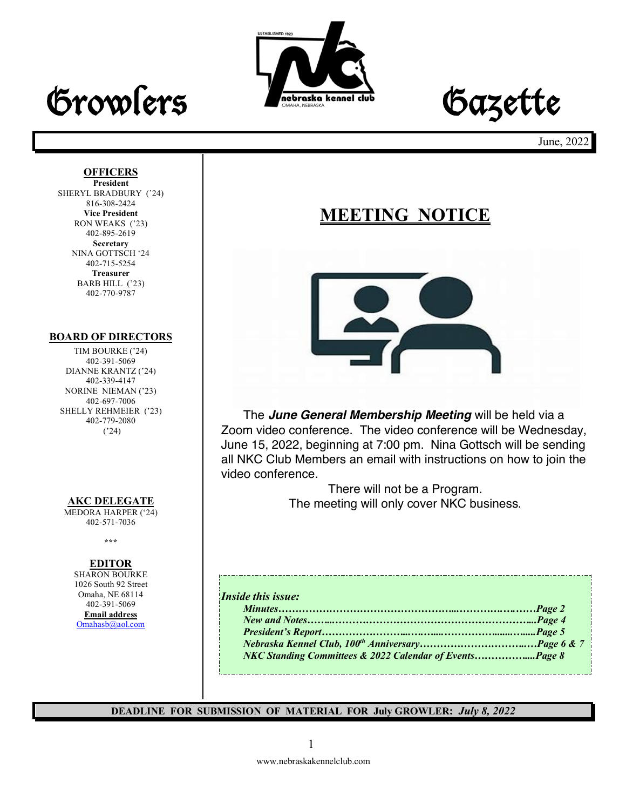

# Growlers **Frederate Accounted dub** Gazette

June, 2022

### **OFFICERS**

**President** SHERYL BRADBURY ('24) 816-308-2424 **Vice President** RON WEAKS ('23) 402-895-2619 **Secretary** NINA GOTTSCH '24 402-715-5254 **Treasurer** BARB HILL ('23) 402-770-9787

### **BOARD OF DIRECTORS**

TIM BOURKE ('24) 402-391-5069 DIANNE KRANTZ ('24) 402-339-4147 NORINE NIEMAN ('23) 402-697-7006 SHELLY REHMEIER ('23) 402-779-2080 ('24)

### **AKC DELEGATE**

MEDORA HARPER ('24) 402-571-7036

**\*\*\***

### **EDITOR**

SHARON BOURKE 1026 South 92 Street Omaha, NE 68114 402-391-5069 **Email address** Omahasb@aol.com

### **MEETING NOTICE**



The *June General Membership Meeting* will be held via a Zoom video conference. The video conference will be Wednesday, June 15, 2022, beginning at 7:00 pm. Nina Gottsch will be sending all NKC Club Members an email with instructions on how to join the video conference.

> There will not be a Program. The meeting will only cover NKC business.

| NKC Standing Committees & 2022 Calendar of EventsPage 8 |
|---------------------------------------------------------|
|                                                         |

**DEADLINE FOR SUBMISSION OF MATERIAL FOR July GROWLER:** *July 8, 2022*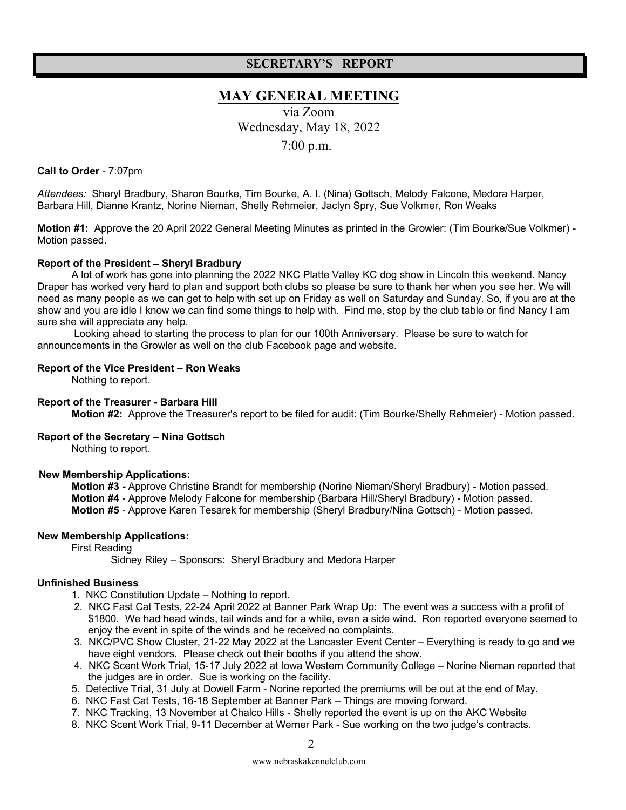### **SECRETARY'S REPORT**

### **MAY GENERAL MEETING**

via Zoom Wednesday, May 18, 2022 7:00 p.m.

### **Call to Order** - 7:07pm

*Attendees:* Sheryl Bradbury, Sharon Bourke, Tim Bourke, A. I. (Nina) Gottsch, Melody Falcone, Medora Harper, Barbara Hill, Dianne Krantz, Norine Nieman, Shelly Rehmeier, Jaclyn Spry, Sue Volkmer, Ron Weaks

**Motion #1:** Approve the 20 April 2022 General Meeting Minutes as printed in the Growler: (Tim Bourke/Sue Volkmer) - Motion passed.

### **Report of the President – Sheryl Bradbury**

A lot of work has gone into planning the 2022 NKC Platte Valley KC dog show in Lincoln this weekend. Nancy Draper has worked very hard to plan and support both clubs so please be sure to thank her when you see her. We will need as many people as we can get to help with set up on Friday as well on Saturday and Sunday. So, if you are at the show and you are idle I know we can find some things to help with. Find me, stop by the club table or find Nancy I am sure she will appreciate any help.

Looking ahead to starting the process to plan for our 100th Anniversary. Please be sure to watch for announcements in the Growler as well on the club Facebook page and website.

#### **Report of the Vice President – Ron Weaks**

Nothing to report.

#### **Report of the Treasurer - Barbara Hill**

 **Motion #2:** Approve the Treasurer's report to be filed for audit: (Tim Bourke/Shelly Rehmeier) - Motion passed.

### **Report of the Secretary – Nina Gottsch**

Nothing to report.

### **New Membership Applications:**

 **Motion #3 -** Approve Christine Brandt for membership (Norine Nieman/Sheryl Bradbury) - Motion passed. **Motion #4** - Approve Melody Falcone for membership (Barbara Hill/Sheryl Bradbury) - Motion passed. **Motion #5** - Approve Karen Tesarek for membership (Sheryl Bradbury/Nina Gottsch) - Motion passed.

### **New Membership Applications:**

First Reading

Sidney Riley – Sponsors: Sheryl Bradbury and Medora Harper

### **Unfinished Business**

1. NKC Constitution Update – Nothing to report.

- 2. NKC Fast Cat Tests, 22-24 April 2022 at Banner Park Wrap Up: The event was a success with a profit of \$1800. We had head winds, tail winds and for a while, even a side wind. Ron reported everyone seemed to enjoy the event in spite of the winds and he received no complaints.
- 3. NKC/PVC Show Cluster, 21-22 May 2022 at the Lancaster Event Center Everything is ready to go and we have eight vendors. Please check out their booths if you attend the show.
- 4. NKC Scent Work Trial, 15-17 July 2022 at Iowa Western Community College Norine Nieman reported that the judges are in order. Sue is working on the facility.
- 5. Detective Trial, 31 July at Dowell Farm Norine reported the premiums will be out at the end of May.
- 6. NKC Fast Cat Tests, 16-18 September at Banner Park Things are moving forward.
- 7. NKC Tracking, 13 November at Chalco Hills Shelly reported the event is up on the AKC Website
- 8. NKC Scent Work Trial, 9-11 December at Werner Park Sue working on the two judge's contracts.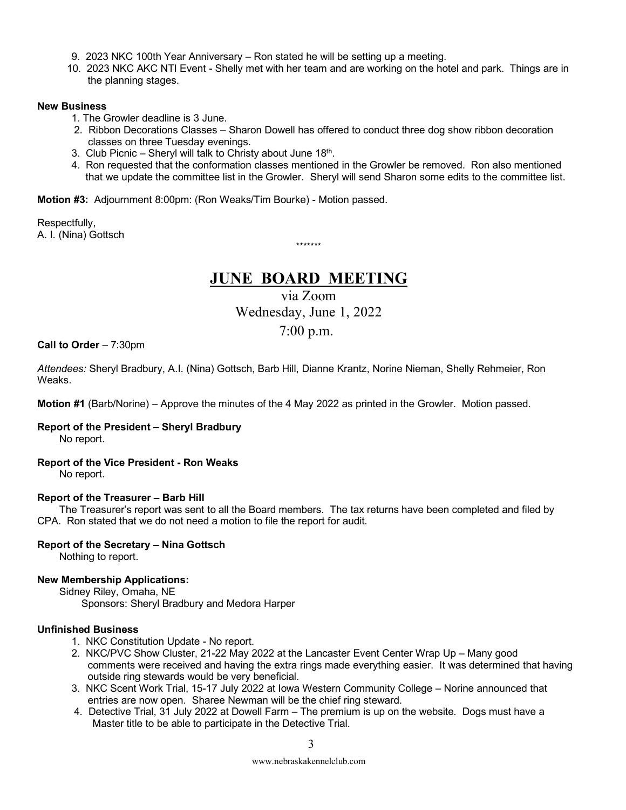- 9. 2023 NKC 100th Year Anniversary Ron stated he will be setting up a meeting.
- 10. 2023 NKC AKC NTI Event Shelly met with her team and are working on the hotel and park. Things are in the planning stages.

#### **New Business**

- 1. The Growler deadline is 3 June.
- 2. Ribbon Decorations Classes Sharon Dowell has offered to conduct three dog show ribbon decoration classes on three Tuesday evenings.
- 3. Club Picnic Sheryl will talk to Christy about June  $18<sup>th</sup>$ .
- 4. Ron requested that the conformation classes mentioned in the Growler be removed. Ron also mentioned that we update the committee list in the Growler. Sheryl will send Sharon some edits to the committee list.

**Motion #3:** Adjournment 8:00pm: (Ron Weaks/Tim Bourke) - Motion passed.

Respectfully, A. I. (Nina) Gottsch

\*\*\*\*\*\*\*

### **JUNE BOARD MEETING**

via Zoom Wednesday, June 1, 2022 7:00 p.m.

**Call to Order** – 7:30pm

*Attendees:* Sheryl Bradbury, A.I. (Nina) Gottsch, Barb Hill, Dianne Krantz, Norine Nieman, Shelly Rehmeier, Ron Weaks.

**Motion #1** (Barb/Norine) – Approve the minutes of the 4 May 2022 as printed in the Growler. Motion passed.

### **Report of the President – Sheryl Bradbury**

No report.

### **Report of the Vice President - Ron Weaks**

No report.

### **Report of the Treasurer – Barb Hill**

The Treasurer's report was sent to all the Board members. The tax returns have been completed and filed by CPA. Ron stated that we do not need a motion to file the report for audit.

### **Report of the Secretary – Nina Gottsch**

Nothing to report.

### **New Membership Applications:**

Sidney Riley, Omaha, NE

Sponsors: Sheryl Bradbury and Medora Harper

### **Unfinished Business**

- 1. NKC Constitution Update No report.
- 2. NKC/PVC Show Cluster, 21-22 May 2022 at the Lancaster Event Center Wrap Up Many good comments were received and having the extra rings made everything easier. It was determined that having outside ring stewards would be very beneficial.
- 3. NKC Scent Work Trial, 15-17 July 2022 at Iowa Western Community College Norine announced that entries are now open. Sharee Newman will be the chief ring steward.
- 4. Detective Trial, 31 July 2022 at Dowell Farm The premium is up on the website. Dogs must have a Master title to be able to participate in the Detective Trial.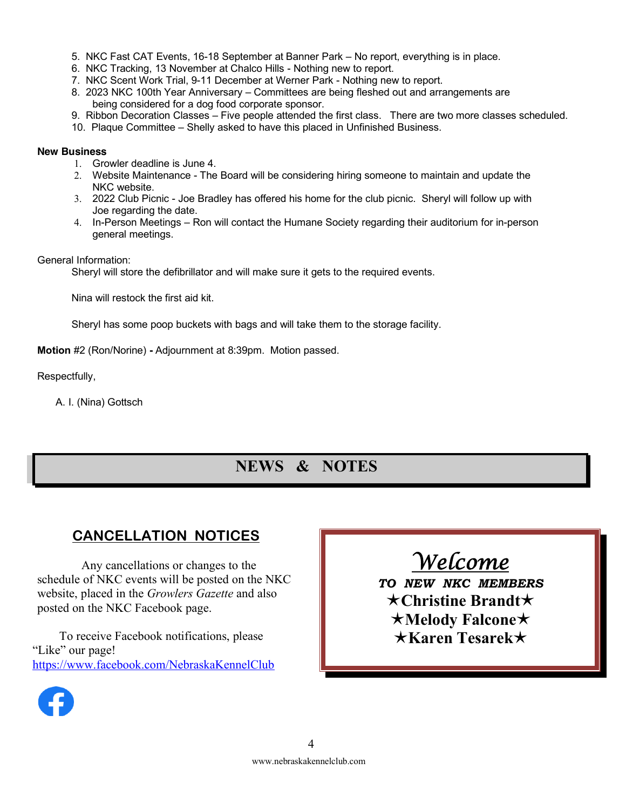- 5. NKC Fast CAT Events, 16-18 September at Banner Park No report, everything is in place.
- 6. NKC Tracking, 13 November at Chalco Hills Nothing new to report.
- 7. NKC Scent Work Trial, 9-11 December at Werner Park Nothing new to report.
- 8. 2023 NKC 100th Year Anniversary Committees are being fleshed out and arrangements are being considered for a dog food corporate sponsor.
- 9. Ribbon Decoration Classes Five people attended the first class. There are two more classes scheduled.
- 10. Plaque Committee Shelly asked to have this placed in Unfinished Business.

### **New Business**

- 1. Growler deadline is June 4.
- 2. Website Maintenance The Board will be considering hiring someone to maintain and update the NKC website.
- 3. 2022 Club Picnic Joe Bradley has offered his home for the club picnic. Sheryl will follow up with Joe regarding the date.
- 4. In-Person Meetings Ron will contact the Humane Society regarding their auditorium for in-person general meetings.

General Information:

Sheryl will store the defibrillator and will make sure it gets to the required events.

Nina will restock the first aid kit.

Sheryl has some poop buckets with bags and will take them to the storage facility.

**Motion** #2 (Ron/Norine) **-** Adjournment at 8:39pm. Motion passed.

Respectfully,

A. I. (Nina) Gottsch

### **NEWS & NOTES**

### **CANCELLATION NOTICES**

Any cancellations or changes to the schedule of NKC events will be posted on the NKC website, placed in the *Growlers Gazette* and also posted on the NKC Facebook page.

To receive Facebook notifications, please "Like" our page! https://www.facebook.com/NebraskaKennelClub



*TO NEW NKC MEMBERS* é**Christine Brandt**é é**Melody Falcone**é é**Karen Tesarek**é

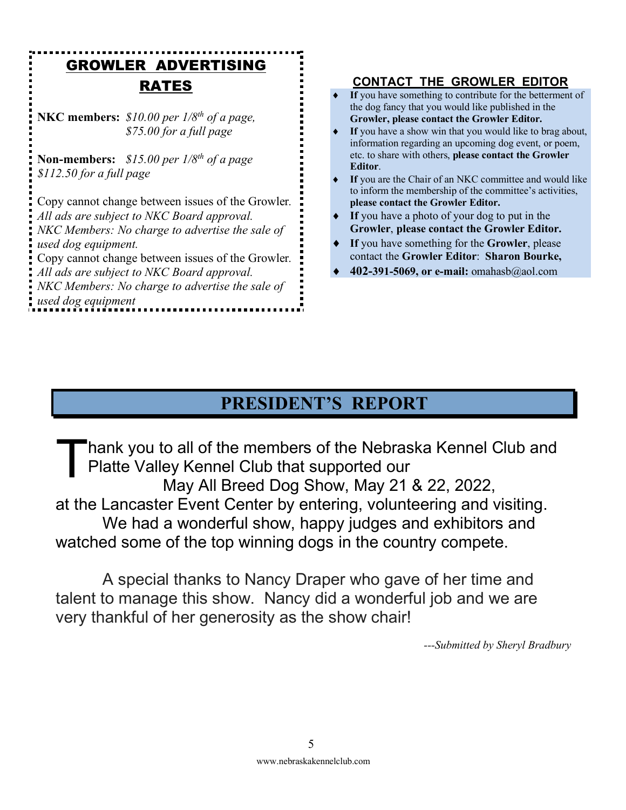### GROWLER ADVERTISING RATES

**NKC members:** *\$10.00 per 1/8th of a page, \$75.00 for a full page* 

**Non-members:** *\$15.00 per 1/8th of a page \$112.50 for a full page*

Copy cannot change between issues of the Growler*. All ads are subject to NKC Board approval. NKC Members: No charge to advertise the sale of used dog equipment.* Copy cannot change between issues of the Growler*. All ads are subject to NKC Board approval. NKC Members: No charge to advertise the sale of*

*used dog equipment*

### **CONTACT THE GROWLER EDITOR**

- If you have something to contribute for the betterment of the dog fancy that you would like published in the **Growler, please contact the Growler Editor.**
- If you have a show win that you would like to brag about, information regarding an upcoming dog event, or poem, etc. to share with others, **please contact the Growler Editor**.
- If you are the Chair of an NKC committee and would like to inform the membership of the committee's activities, **please contact the Growler Editor.**
- If you have a photo of your dog to put in the **Growler**, **please contact the Growler Editor.**
- If you have something for the **Growler**, please contact the **Growler Editor**: **Sharon Bourke,**
- ¨ **402-391-5069, or e-mail:** omahasb@aol.com

### **PRESIDENT'S REPORT**

hank you to all of the members of the Nebraska Kennel Club and Platte Valley Kennel Club that supported our May All Breed Dog Show, May 21 & 22, 2022, at the Lancaster Event Center by entering, volunteering and visiting. We had a wonderful show, happy judges and exhibitors and watched some of the top winning dogs in the country compete. T

A special thanks to Nancy Draper who gave of her time and talent to manage this show. Nancy did a wonderful job and we are very thankful of her generosity as the show chair!

*---Submitted by Sheryl Bradbury*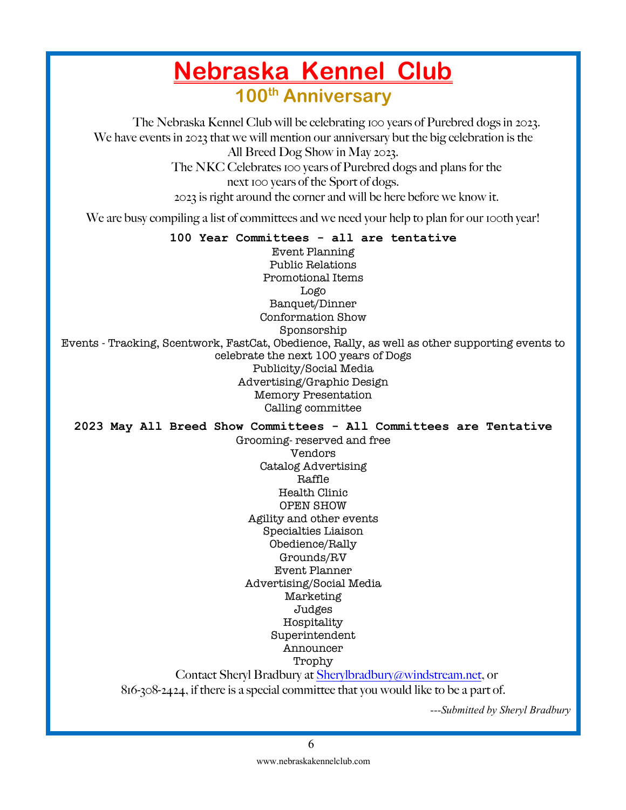## **Nebraska Kennel Club 100th Anniversary**

The Nebraska Kennel Club will be celebrating 100 years of Purebred dogs in 2023. We have events in 2023 that we will mention our anniversary but the big celebration is the All Breed Dog Show in May 2023. The NKC Celebrates 100 years of Purebred dogs and plans for the next 100 years of the Sport of dogs. 2023 is right around the corner and will be here before we know it.

We are busy compiling a list of committees and we need your help to plan for our 100th year!

### **100 Year Committees - all are tentative**

Event Planning Public Relations Promotional Items Logo Banquet/Dinner Conformation Show Sponsorship Events - Tracking, Scentwork, FastCat, Obedience, Rally, as well as other supporting events to celebrate the next 100 years of Dogs Publicity/Social Media Advertising/Graphic Design Memory Presentation Calling committee

**2023 May All Breed Show Committees - All Committees are Tentative**

Grooming- reserved and free Vendors Catalog Advertising Raffle Health Clinic OPEN SHOW Agility and other events Specialties Liaison Obedience/Rally Grounds/RV Event Planner Advertising/Social Media Marketing Judges Hospitality Superintendent Announcer

Trophy

Contact Sheryl Bradbury at Sherylbradbury@windstream.net, or

816-308-2424, if there is a special committee that you would like to be a part of.

*---Submitted by Sheryl Bradbury*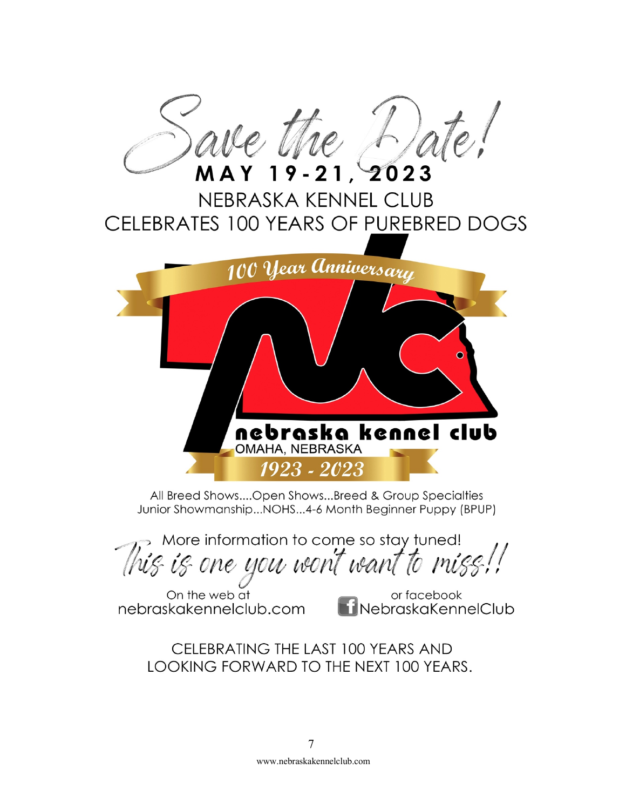

All Breed Shows....Open Shows...Breed & Group Specialties Junior Showmanship...NOHS...4-6 Month Beginner Puppy (BPUP)

> More information to come so stay tuned! his is one you won't want to miss!!

On the web at nebraskakennelclub.com

or facebook **i NebraskaKennelClub** 

CELEBRATING THE LAST 100 YEARS AND LOOKING FORWARD TO THE NEXT 100 YEARS.